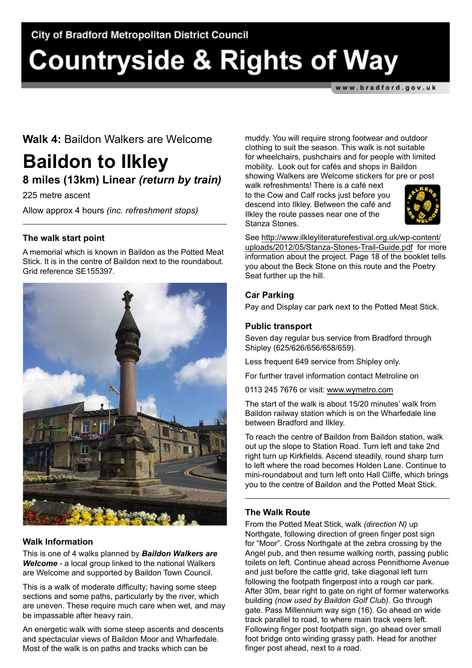# **Countryside & Rights of Way**

www.bradford.gov.uk

### **Walk 4:** Baildon Walkers are Welcome

## **Baildon to Ilkley 8 miles (13km) Linear** *(return by train)*

225 metre ascent

Allow approx 4 hours *(inc. refreshment stops)* 

#### **The walk start point**

A memorial which is known in Baildon as the Potted Meat Stick. It is in the centre of Baildon next to the roundabout. Grid reference SE155397.



#### **Walk Information**

This is one of 4 walks planned by *Baildon Walkers are Welcome* - a local group linked to the national Walkers are Welcome and supported by Baildon Town Council.

This is a walk of moderate difficulty; having some steep sections and some paths, particularly by the river, which are uneven. These require much care when wet, and may be impassable after heavy rain.

An energetic walk with some steep ascents and descents and spectacular views of Baildon Moor and Wharfedale. Most of the walk is on paths and tracks which can be

muddy. You will require strong footwear and outdoor clothing to suit the season. This walk is not suitable for wheelchairs, pushchairs and for people with limited mobility. Look out for cafés and shops in Baildon showing Walkers are Welcome stickers for pre or post

walk refreshments! There is a café next to the Cow and Calf rocks just before you descend into Ilkley. Between the café and Ilkley the route passes near one of the Stanza Stones.



See [http://www.ilkleyliteraturefestival.org.uk/wp-content/](http://www.ilkleyliteraturefestival.org.uk/wp-content/uploads/2012/05/Stanza-Stones-Trail-Guide.pdf) [uploads/2012/05/Stanza-Stones-Trail-Guide.pdf](http://www.ilkleyliteraturefestival.org.uk/wp-content/uploads/2012/05/Stanza-Stones-Trail-Guide.pdf) for more information about the project. Page 18 of the booklet tells you about the Beck Stone on this route and the Poetry Seat further up the hill.

#### **Car Parking**

Pay and Display car park next to the Potted Meat Stick.

#### **Public transport**

Seven day regular bus service from Bradford through Shipley (625/626/656/658/659).

Less frequent 649 service from Shipley only.

For further travel information contact Metroline on

0113 245 7676 or visit: <www.wymetro.com>

The start of the walk is about 15/20 minutes' walk from Baildon railway station which is on the Wharfedale line between Bradford and Ilkley.

To reach the centre of Baildon from Baildon station, walk out up the slope to Station Road. Turn left and take 2nd right turn up Kirkfields. Ascend steadily, round sharp turn to left where the road becomes Holden Lane. Continue to mini-roundabout and turn left onto Hall Cliffe, which brings you to the centre of Baildon and the Potted Meat Stick.

#### **The Walk Route**

From the Potted Meat Stick, walk *(direction N)* up Northgate, following direction of green finger post sign for "Moor". Cross Northgate at the zebra crossing by the Angel pub, and then resume walking north, passing public toilets on left. Continue ahead across Pennithorne Avenue and just before the cattle grid, take diagonal left turn following the footpath fingerpost into a rough car park. After 30m, bear right to gate on right of former waterworks building *(now used by Baildon Golf Club)*. Go through gate. Pass Millennium way sign (16). Go ahead on wide track parallel to road, to where main track veers left. Following finger post footpath sign, go ahead over small foot bridge onto winding grassy path. Head for another finger post ahead, next to a road.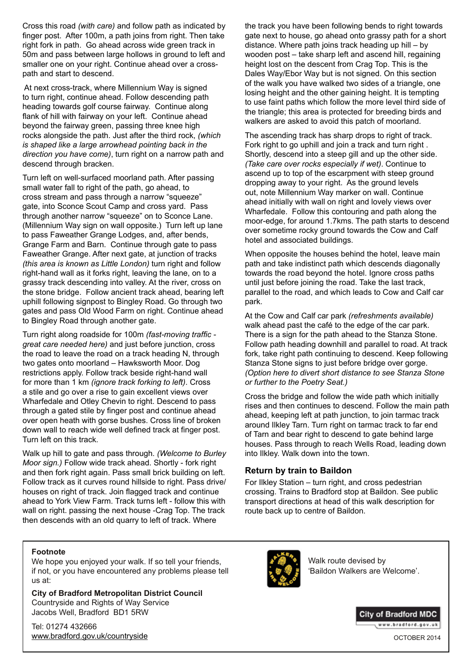Cross this road *(with care)* and follow path as indicated by finger post. After 100m, a path joins from right. Then take right fork in path. Go ahead across wide green track in 50m and pass between large hollows in ground to left and smaller one on your right. Continue ahead over a crosspath and start to descend.

 At next cross-track, where Millennium Way is signed to turn right, continue ahead. Follow descending path heading towards golf course fairway. Continue along flank of hill with fairway on your left. Continue ahead beyond the fairway green, passing three knee high rocks alongside the path. Just after the third rock, *(which is shaped like a large arrowhead pointing back in the direction you have come)*, turn right on a narrow path and descend through bracken.

Turn left on well-surfaced moorland path. After passing small water fall to right of the path, go ahead, to cross stream and pass through a narrow "squeeze" gate, into Sconce Scout Camp and cross yard. Pass through another narrow "squeeze" on to Sconce Lane. (Millennium Way sign on wall opposite.) Turn left up lane to pass Faweather Grange Lodges, and, after bends, Grange Farm and Barn. Continue through gate to pass Faweather Grange. After next gate, at junction of tracks *(this area is known as Little London)* turn right and follow right-hand wall as it forks right, leaving the lane, on to a grassy track descending into valley. At the river, cross on the stone bridge. Follow ancient track ahead, bearing left uphill following signpost to Bingley Road. Go through two gates and pass Old Wood Farm on right. Continue ahead to Bingley Road through another gate.

Turn right along roadside for 100m *(fast-moving traffic great care needed here)* and just before junction, cross the road to leave the road on a track heading N, through two gates onto moorland – Hawksworth Moor. Dog restrictions apply. Follow track beside right-hand wall for more than 1 km *(ignore track forking to left)*. Cross a stile and go over a rise to gain excellent views over Wharfedale and Otley Chevin to right. Descend to pass through a gated stile by finger post and continue ahead over open heath with gorse bushes. Cross line of broken down wall to reach wide well defined track at finger post. Turn left on this track.

Walk up hill to gate and pass through. *(Welcome to Burley Moor sign.)* Follow wide track ahead. Shortly - fork right and then fork right again. Pass small brick building on left. Follow track as it curves round hillside to right. Pass drive/ houses on right of track. Join flagged track and continue ahead to York View Farm. Track turns left - follow this with wall on right. passing the next house -Crag Top. The track then descends with an old quarry to left of track. Where

the track you have been following bends to right towards gate next to house, go ahead onto grassy path for a short distance. Where path joins track heading up hill – by wooden post – take sharp left and ascend hill, regaining height lost on the descent from Crag Top. This is the Dales Way/Ebor Way but is not signed. On this section of the walk you have walked two sides of a triangle, one losing height and the other gaining height. It is tempting to use faint paths which follow the more level third side of the triangle; this area is protected for breeding birds and walkers are asked to avoid this patch of moorland.

The ascending track has sharp drops to right of track. Fork right to go uphill and join a track and turn right . Shortly, descend into a steep gill and up the other side. *(Take care over rocks especially if wet)*. Continue to ascend up to top of the escarpment with steep ground dropping away to your right. As the ground levels out, note Millennium Way marker on wall. Continue ahead initially with wall on right and lovely views over Wharfedale. Follow this contouring and path along the moor-edge, for around 1.7kms. The path starts to descend over sometime rocky ground towards the Cow and Calf hotel and associated buildings.

When opposite the houses behind the hotel, leave main path and take indistinct path which descends diagonally towards the road beyond the hotel. Ignore cross paths until just before joining the road. Take the last track, parallel to the road, and which leads to Cow and Calf car park.

At the Cow and Calf car park *(refreshments available)* walk ahead past the café to the edge of the car park. There is a sign for the path ahead to the Stanza Stone. Follow path heading downhill and parallel to road. At track fork, take right path continuing to descend. Keep following Stanza Stone signs to just before bridge over gorge. *(Option here to divert short distance to see Stanza Stone or further to the Poetry Seat.)*

Cross the bridge and follow the wide path which initially rises and then continues to descend. Follow the main path ahead, keeping left at path junction, to join tarmac track around Ilkley Tarn. Turn right on tarmac track to far end of Tarn and bear right to descend to gate behind large houses. Pass through to reach Wells Road, leading down into Ilkley. Walk down into the town.

#### **Return by train to Baildon**

For Ilkley Station – turn right, and cross pedestrian crossing. Trains to Bradford stop at Baildon. See public transport directions at head of this walk description for route back up to centre of Baildon.

#### **Footnote**

We hope you enjoyed your walk. If so tell your friends, if not, or you have encountered any problems please tell us at:

**City of Bradford Metropolitan District Council** Countryside and Rights of Way Service Jacobs Well, Bradford BD1 5RW

Tel: 01274 432666 <www.bradford.gov.uk/countryside>



Walk route devised by 'Baildon Walkers are Welcome'.



OCTOBER 2014